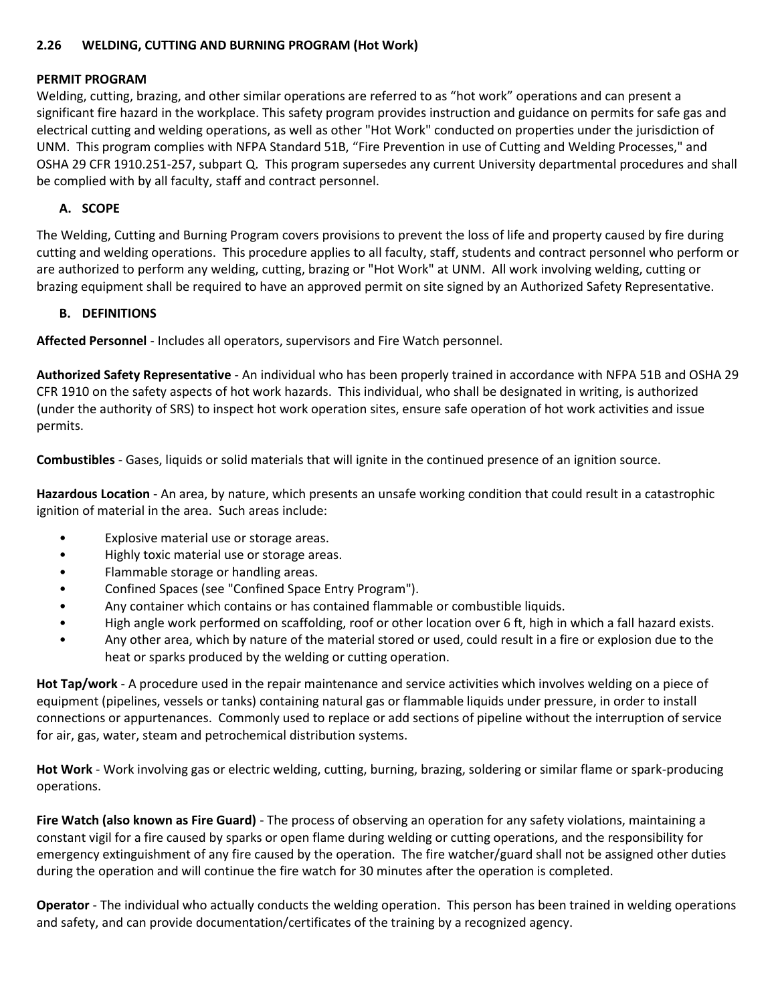#### **2.26 WELDING, CUTTING AND BURNING PROGRAM (Hot Work)**

#### **PERMIT PROGRAM**

Welding, cutting, brazing, and other similar operations are referred to as "hot work" operations and can present a significant fire hazard in the workplace. This safety program provides instruction and guidance on permits for safe gas and electrical cutting and welding operations, as well as other "Hot Work" conducted on properties under the jurisdiction of UNM. This program complies with NFPA Standard 51B, "Fire Prevention in use of Cutting and Welding Processes," and OSHA 29 CFR 1910.251-257, subpart Q. This program supersedes any current University departmental procedures and shall be complied with by all faculty, staff and contract personnel.

#### **A. SCOPE**

The Welding, Cutting and Burning Program covers provisions to prevent the loss of life and property caused by fire during cutting and welding operations. This procedure applies to all faculty, staff, students and contract personnel who perform or are authorized to perform any welding, cutting, brazing or "Hot Work" at UNM. All work involving welding, cutting or brazing equipment shall be required to have an approved permit on site signed by an Authorized Safety Representative.

#### **B. DEFINITIONS**

**Affected Personnel** - Includes all operators, supervisors and Fire Watch personnel.

**Authorized Safety Representative** - An individual who has been properly trained in accordance with NFPA 51B and OSHA 29 CFR 1910 on the safety aspects of hot work hazards. This individual, who shall be designated in writing, is authorized (under the authority of SRS) to inspect hot work operation sites, ensure safe operation of hot work activities and issue permits.

**Combustibles** - Gases, liquids or solid materials that will ignite in the continued presence of an ignition source.

**Hazardous Location** - An area, by nature, which presents an unsafe working condition that could result in a catastrophic ignition of material in the area. Such areas include:

- Explosive material use or storage areas.
- Highly toxic material use or storage areas.
- Flammable storage or handling areas.
- Confined Spaces (see "Confined Space Entry Program").
- Any container which contains or has contained flammable or combustible liquids.
- High angle work performed on scaffolding, roof or other location over 6 ft, high in which a fall hazard exists.
- Any other area, which by nature of the material stored or used, could result in a fire or explosion due to the heat or sparks produced by the welding or cutting operation.

**Hot Tap/work** - A procedure used in the repair maintenance and service activities which involves welding on a piece of equipment (pipelines, vessels or tanks) containing natural gas or flammable liquids under pressure, in order to install connections or appurtenances. Commonly used to replace or add sections of pipeline without the interruption of service for air, gas, water, steam and petrochemical distribution systems.

**Hot Work** - Work involving gas or electric welding, cutting, burning, brazing, soldering or similar flame or spark-producing operations.

**Fire Watch (also known as Fire Guard)** - The process of observing an operation for any safety violations, maintaining a constant vigil for a fire caused by sparks or open flame during welding or cutting operations, and the responsibility for emergency extinguishment of any fire caused by the operation. The fire watcher/guard shall not be assigned other duties during the operation and will continue the fire watch for 30 minutes after the operation is completed.

**Operator** - The individual who actually conducts the welding operation. This person has been trained in welding operations and safety, and can provide documentation/certificates of the training by a recognized agency.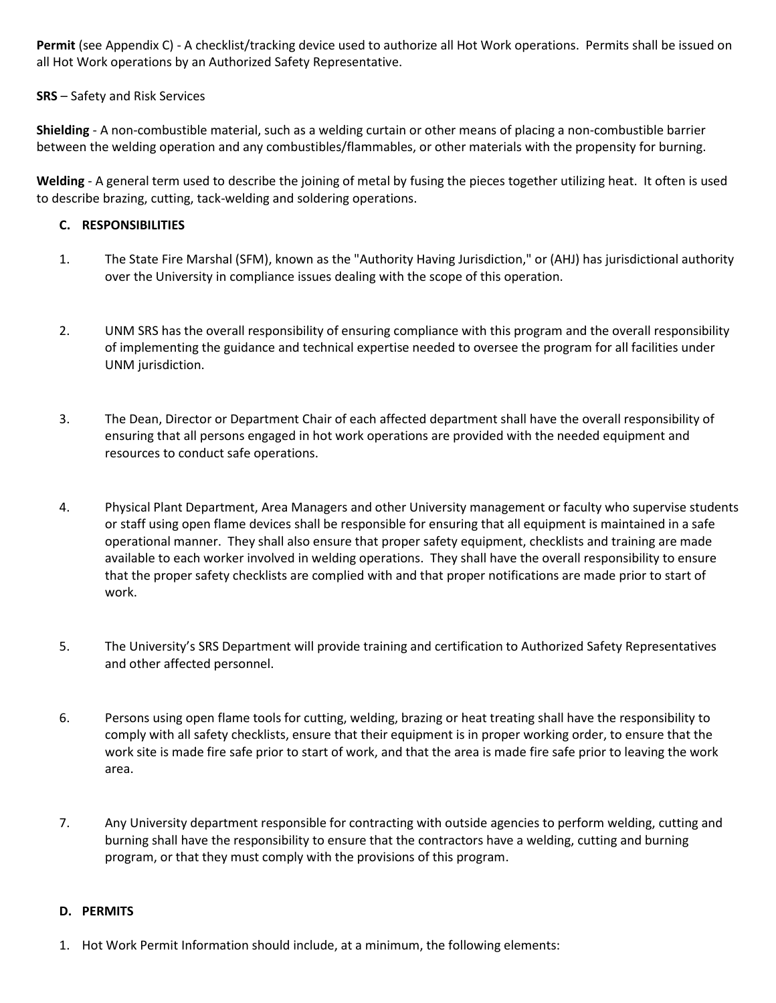**Permit** (see Appendix C) - A checklist/tracking device used to authorize all Hot Work operations. Permits shall be issued on all Hot Work operations by an Authorized Safety Representative.

#### **SRS** – Safety and Risk Services

**Shielding** - A non-combustible material, such as a welding curtain or other means of placing a non-combustible barrier between the welding operation and any combustibles/flammables, or other materials with the propensity for burning.

**Welding** - A general term used to describe the joining of metal by fusing the pieces together utilizing heat. It often is used to describe brazing, cutting, tack-welding and soldering operations.

#### **C. RESPONSIBILITIES**

- 1. The State Fire Marshal (SFM), known as the "Authority Having Jurisdiction," or (AHJ) has jurisdictional authority over the University in compliance issues dealing with the scope of this operation.
- 2. UNM SRS has the overall responsibility of ensuring compliance with this program and the overall responsibility of implementing the guidance and technical expertise needed to oversee the program for all facilities under UNM jurisdiction.
- 3. The Dean, Director or Department Chair of each affected department shall have the overall responsibility of ensuring that all persons engaged in hot work operations are provided with the needed equipment and resources to conduct safe operations.
- 4. Physical Plant Department, Area Managers and other University management or faculty who supervise students or staff using open flame devices shall be responsible for ensuring that all equipment is maintained in a safe operational manner. They shall also ensure that proper safety equipment, checklists and training are made available to each worker involved in welding operations. They shall have the overall responsibility to ensure that the proper safety checklists are complied with and that proper notifications are made prior to start of work.
- 5. The University's SRS Department will provide training and certification to Authorized Safety Representatives and other affected personnel.
- 6. Persons using open flame tools for cutting, welding, brazing or heat treating shall have the responsibility to comply with all safety checklists, ensure that their equipment is in proper working order, to ensure that the work site is made fire safe prior to start of work, and that the area is made fire safe prior to leaving the work area.
- 7. Any University department responsible for contracting with outside agencies to perform welding, cutting and burning shall have the responsibility to ensure that the contractors have a welding, cutting and burning program, or that they must comply with the provisions of this program.

#### **D. PERMITS**

1. Hot Work Permit Information should include, at a minimum, the following elements: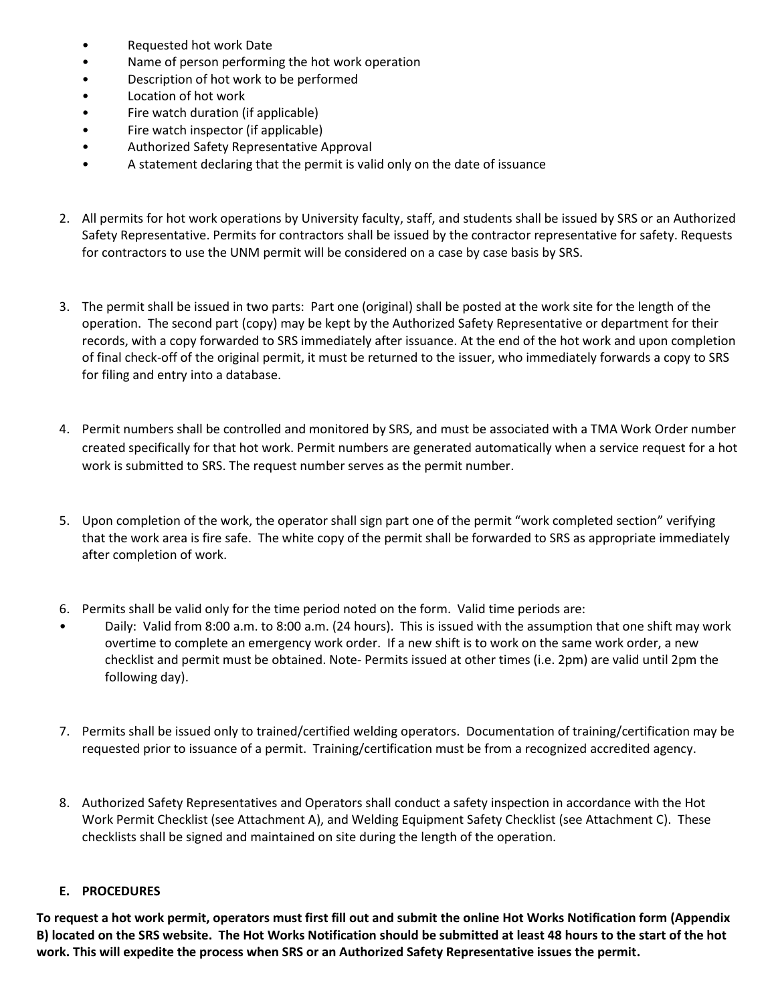- Requested hot work Date
- Name of person performing the hot work operation
- Description of hot work to be performed
- Location of hot work
- Fire watch duration (if applicable)
- Fire watch inspector (if applicable)
- Authorized Safety Representative Approval
- A statement declaring that the permit is valid only on the date of issuance
- 2. All permits for hot work operations by University faculty, staff, and students shall be issued by SRS or an Authorized Safety Representative. Permits for contractors shall be issued by the contractor representative for safety. Requests for contractors to use the UNM permit will be considered on a case by case basis by SRS.
- 3. The permit shall be issued in two parts: Part one (original) shall be posted at the work site for the length of the operation. The second part (copy) may be kept by the Authorized Safety Representative or department for their records, with a copy forwarded to SRS immediately after issuance. At the end of the hot work and upon completion of final check-off of the original permit, it must be returned to the issuer, who immediately forwards a copy to SRS for filing and entry into a database.
- 4. Permit numbers shall be controlled and monitored by SRS, and must be associated with a TMA Work Order number created specifically for that hot work. Permit numbers are generated automatically when a service request for a hot work is submitted to SRS. The request number serves as the permit number.
- 5. Upon completion of the work, the operator shall sign part one of the permit "work completed section" verifying that the work area is fire safe. The white copy of the permit shall be forwarded to SRS as appropriate immediately after completion of work.
- 6. Permits shall be valid only for the time period noted on the form. Valid time periods are:
- Daily: Valid from 8:00 a.m. to 8:00 a.m. (24 hours). This is issued with the assumption that one shift may work overtime to complete an emergency work order. If a new shift is to work on the same work order, a new checklist and permit must be obtained. Note- Permits issued at other times (i.e. 2pm) are valid until 2pm the following day).
- 7. Permits shall be issued only to trained/certified welding operators. Documentation of training/certification may be requested prior to issuance of a permit. Training/certification must be from a recognized accredited agency.
- 8. Authorized Safety Representatives and Operators shall conduct a safety inspection in accordance with the Hot Work Permit Checklist (see Attachment A), and Welding Equipment Safety Checklist (see Attachment C). These checklists shall be signed and maintained on site during the length of the operation.

## **E. PROCEDURES**

**To request a hot work permit, operators must first fill out and submit the online Hot Works Notification form (Appendix B) located on the SRS website. The Hot Works Notification should be submitted at least 48 hours to the start of the hot work. This will expedite the process when SRS or an Authorized Safety Representative issues the permit.**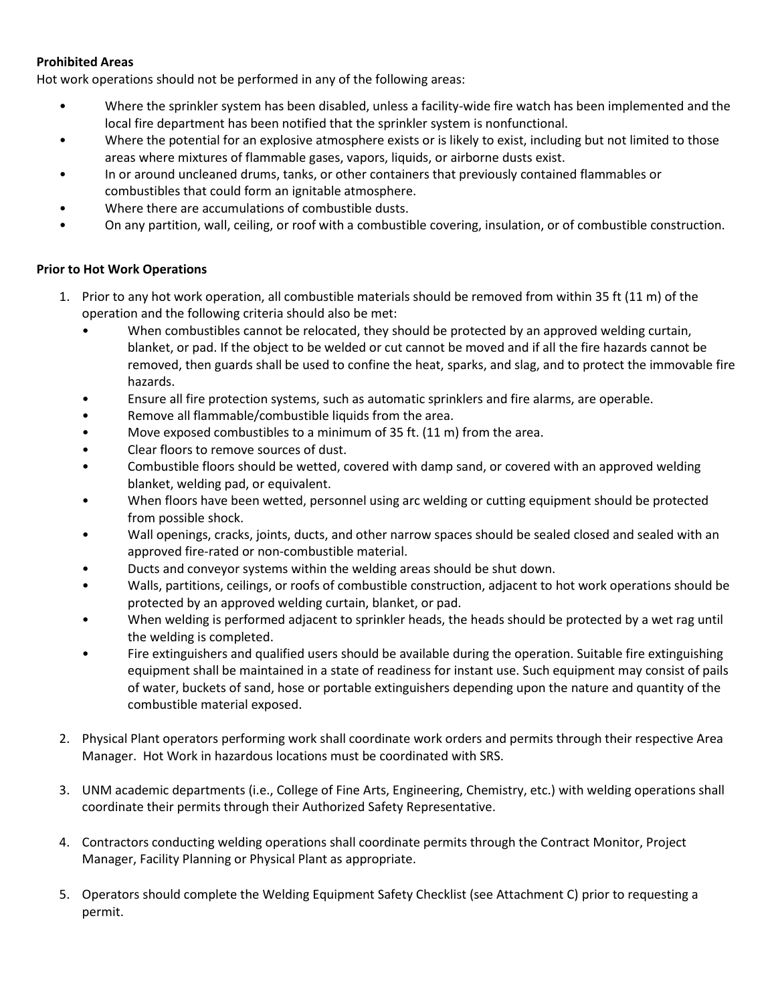## **Prohibited Areas**

Hot work operations should not be performed in any of the following areas:

- Where the sprinkler system has been disabled, unless a facility-wide fire watch has been implemented and the local fire department has been notified that the sprinkler system is nonfunctional.
- Where the potential for an explosive atmosphere exists or is likely to exist, including but not limited to those areas where mixtures of flammable gases, vapors, liquids, or airborne dusts exist.
- In or around uncleaned drums, tanks, or other containers that previously contained flammables or combustibles that could form an ignitable atmosphere.
- Where there are accumulations of combustible dusts.
- On any partition, wall, ceiling, or roof with a combustible covering, insulation, or of combustible construction.

## **Prior to Hot Work Operations**

- 1. Prior to any hot work operation, all combustible materials should be removed from within 35 ft (11 m) of the operation and the following criteria should also be met:
	- When combustibles cannot be relocated, they should be protected by an approved welding curtain, blanket, or pad. If the object to be welded or cut cannot be moved and if all the fire hazards cannot be removed, then guards shall be used to confine the heat, sparks, and slag, and to protect the immovable fire hazards.
	- Ensure all fire protection systems, such as automatic sprinklers and fire alarms, are operable.
	- Remove all flammable/combustible liquids from the area.
	- Move exposed combustibles to a minimum of 35 ft. (11 m) from the area.
	- Clear floors to remove sources of dust.
	- Combustible floors should be wetted, covered with damp sand, or covered with an approved welding blanket, welding pad, or equivalent.
	- When floors have been wetted, personnel using arc welding or cutting equipment should be protected from possible shock.
	- Wall openings, cracks, joints, ducts, and other narrow spaces should be sealed closed and sealed with an approved fire-rated or non-combustible material.
	- Ducts and conveyor systems within the welding areas should be shut down.
	- Walls, partitions, ceilings, or roofs of combustible construction, adjacent to hot work operations should be protected by an approved welding curtain, blanket, or pad.
	- When welding is performed adjacent to sprinkler heads, the heads should be protected by a wet rag until the welding is completed.
	- Fire extinguishers and qualified users should be available during the operation. Suitable fire extinguishing equipment shall be maintained in a state of readiness for instant use. Such equipment may consist of pails of water, buckets of sand, hose or portable extinguishers depending upon the nature and quantity of the combustible material exposed.
- 2. Physical Plant operators performing work shall coordinate work orders and permits through their respective Area Manager. Hot Work in hazardous locations must be coordinated with SRS.
- 3. UNM academic departments (i.e., College of Fine Arts, Engineering, Chemistry, etc.) with welding operations shall coordinate their permits through their Authorized Safety Representative.
- 4. Contractors conducting welding operations shall coordinate permits through the Contract Monitor, Project Manager, Facility Planning or Physical Plant as appropriate.
- 5. Operators should complete the Welding Equipment Safety Checklist (see Attachment C) prior to requesting a permit.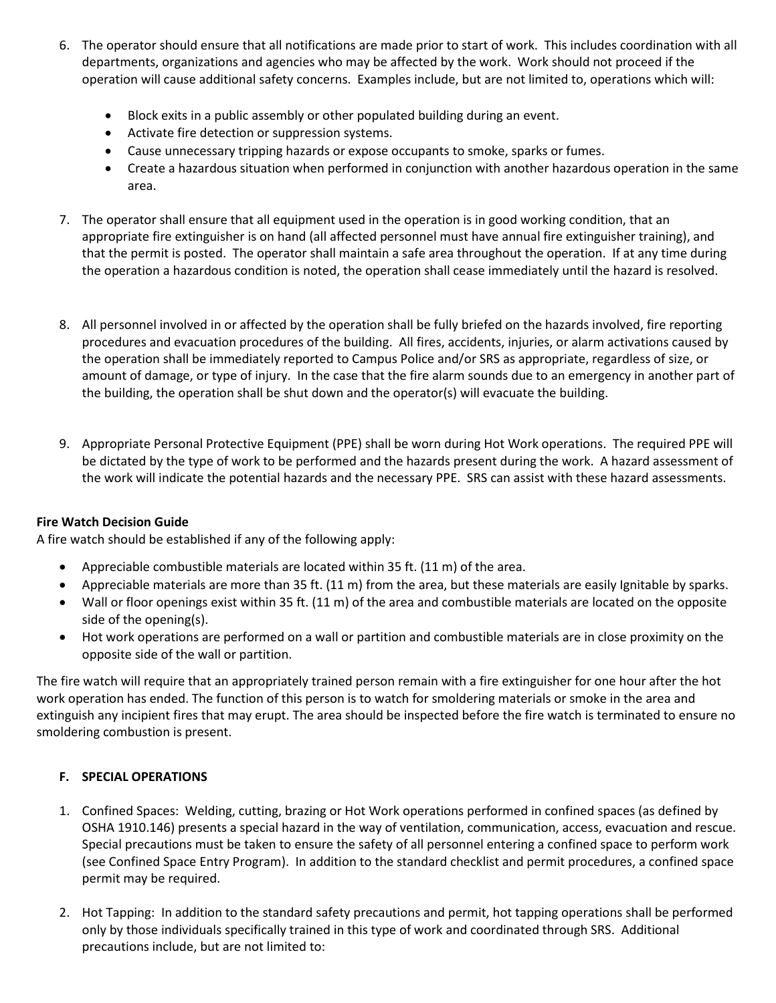- 6. The operator should ensure that all notifications are made prior to start of work. This includes coordination with all departments, organizations and agencies who may be affected by the work. Work should not proceed if the operation will cause additional safety concerns. Examples include, but are not limited to, operations which will:
	- Block exits in a public assembly or other populated building during an event.
	- Activate fire detection or suppression systems.
	- Cause unnecessary tripping hazards or expose occupants to smoke, sparks or fumes.
	- Create a hazardous situation when performed in conjunction with another hazardous operation in the same area.
- 7. The operator shall ensure that all equipment used in the operation is in good working condition, that an appropriate fire extinguisher is on hand (all affected personnel must have annual fire extinguisher training), and that the permit is posted. The operator shall maintain a safe area throughout the operation. If at any time during the operation a hazardous condition is noted, the operation shall cease immediately until the hazard is resolved.
- 8. All personnel involved in or affected by the operation shall be fully briefed on the hazards involved, fire reporting procedures and evacuation procedures of the building. All fires, accidents, injuries, or alarm activations caused by the operation shall be immediately reported to Campus Police and/or SRS as appropriate, regardless of size, or amount of damage, or type of injury. In the case that the fire alarm sounds due to an emergency in another part of the building, the operation shall be shut down and the operator(s) will evacuate the building.
- 9. Appropriate Personal Protective Equipment (PPE) shall be worn during Hot Work operations. The required PPE will be dictated by the type of work to be performed and the hazards present during the work. A hazard assessment of the work will indicate the potential hazards and the necessary PPE. SRS can assist with these hazard assessments.

## **Fire Watch Decision Guide**

A fire watch should be established if any of the following apply:

- Appreciable combustible materials are located within 35 ft. (11 m) of the area.
- Appreciable materials are more than 35 ft. (11 m) from the area, but these materials are easily Ignitable by sparks.
- Wall or floor openings exist within 35 ft. (11 m) of the area and combustible materials are located on the opposite side of the opening(s).
- Hot work operations are performed on a wall or partition and combustible materials are in close proximity on the opposite side of the wall or partition.

The fire watch will require that an appropriately trained person remain with a fire extinguisher for one hour after the hot work operation has ended. The function of this person is to watch for smoldering materials or smoke in the area and extinguish any incipient fires that may erupt. The area should be inspected before the fire watch is terminated to ensure no smoldering combustion is present.

## **F. SPECIAL OPERATIONS**

- 1. Confined Spaces: Welding, cutting, brazing or Hot Work operations performed in confined spaces (as defined by OSHA 1910.146) presents a special hazard in the way of ventilation, communication, access, evacuation and rescue. Special precautions must be taken to ensure the safety of all personnel entering a confined space to perform work (see Confined Space Entry Program). In addition to the standard checklist and permit procedures, a confined space permit may be required.
- 2. Hot Tapping: In addition to the standard safety precautions and permit, hot tapping operations shall be performed only by those individuals specifically trained in this type of work and coordinated through SRS. Additional precautions include, but are not limited to: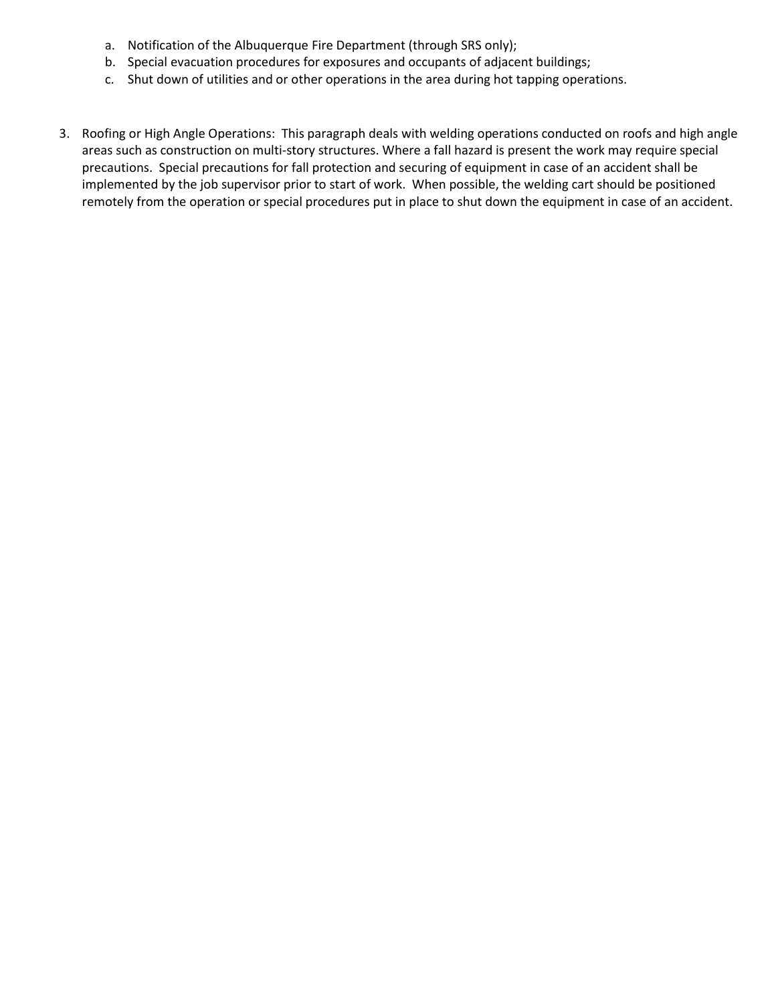- a. Notification of the Albuquerque Fire Department (through SRS only);
- b. Special evacuation procedures for exposures and occupants of adjacent buildings;
- c. Shut down of utilities and or other operations in the area during hot tapping operations.
- 3. Roofing or High Angle Operations: This paragraph deals with welding operations conducted on roofs and high angle areas such as construction on multi-story structures. Where a fall hazard is present the work may require special precautions. Special precautions for fall protection and securing of equipment in case of an accident shall be implemented by the job supervisor prior to start of work. When possible, the welding cart should be positioned remotely from the operation or special procedures put in place to shut down the equipment in case of an accident.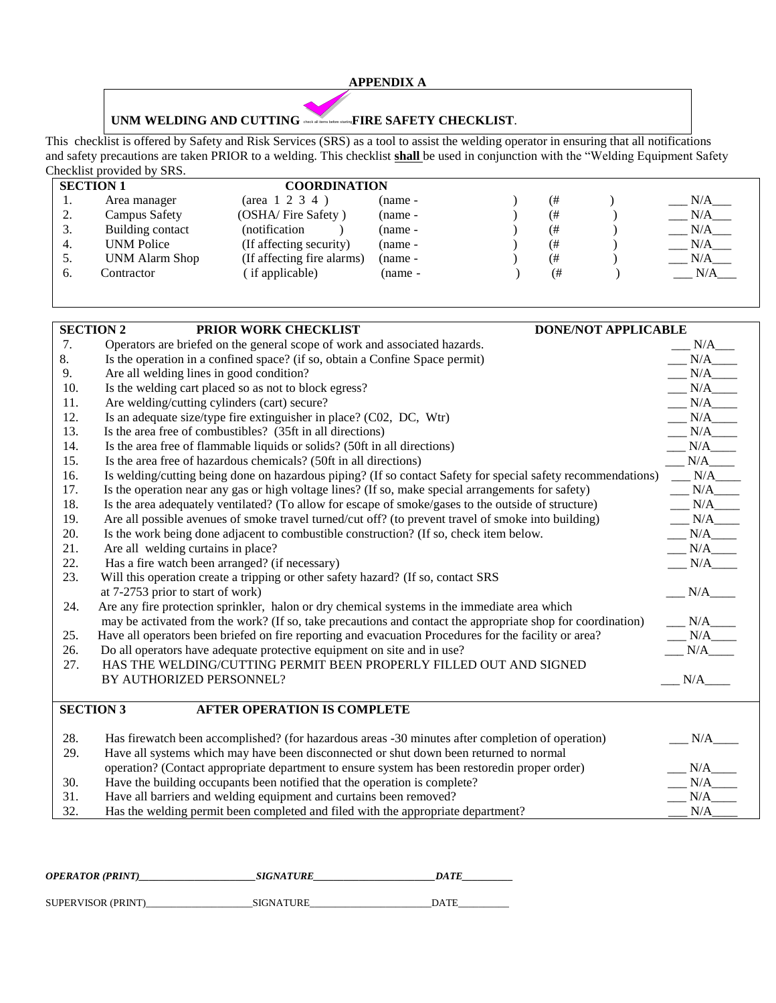#### **APPENDIX A**

#### **UNM WELDING AND CUTTING**  check all items before starting **FIRE SAFETY CHECKLIST**.

This checklist is offered by Safety and Risk Services (SRS) as a tool to assist the welding operator in ensuring that all notifications and safety precautions are taken PRIOR to a welding. This checklist **shall** be used in conjunction with the "Welding Equipment Safety Checklist provided by SRS.

| <b>SECTION 1</b> |    |                       |                            | <b>COORDINATION</b> |  |    |  |     |  |  |
|------------------|----|-----------------------|----------------------------|---------------------|--|----|--|-----|--|--|
|                  | ., | Area manager          | $(\text{area} 1 2 3 4)$    | $(name -$           |  | (# |  | N/A |  |  |
|                  | 2. | Campus Safety         | (OSHA/Fire Safety)         | $(name -$           |  | ί# |  | N/A |  |  |
|                  | 3. | Building contact      | notification)              | $(name -$           |  | ί# |  | N/A |  |  |
|                  | 4. | <b>UNM Police</b>     | (If affecting security)    | $(name -$           |  | ί# |  | N/A |  |  |
|                  | 5. | <b>UNM Alarm Shop</b> | (If affecting fire alarms) | $(name -$           |  | (# |  | N/A |  |  |
|                  | 6. | Contractor            | (if applicable)            | (name -             |  | (# |  | N/A |  |  |
|                  |    |                       |                            |                     |  |    |  |     |  |  |

| <b>SECTION 2</b><br>PRIOR WORK CHECKLIST<br><b>DONE/NOT APPLICABLE</b> |                                                                                                              |                                                                               |  |  |  |  |  |
|------------------------------------------------------------------------|--------------------------------------------------------------------------------------------------------------|-------------------------------------------------------------------------------|--|--|--|--|--|
| 7.                                                                     | Operators are briefed on the general scope of work and associated hazards.                                   | $N/A$ <sub>____</sub>                                                         |  |  |  |  |  |
| 8.                                                                     | Is the operation in a confined space? (if so, obtain a Confine Space permit)                                 | $N/A$ <sub>____</sub>                                                         |  |  |  |  |  |
| 9.                                                                     | Are all welding lines in good condition?                                                                     | N/A                                                                           |  |  |  |  |  |
| 10.                                                                    | Is the welding cart placed so as not to block egress?                                                        | N/A                                                                           |  |  |  |  |  |
| 11.                                                                    | Are welding/cutting cylinders (cart) secure?                                                                 | N/A                                                                           |  |  |  |  |  |
| 12.                                                                    | Is an adequate size/type fire extinguisher in place? (C02, DC, Wtr)                                          | N/A                                                                           |  |  |  |  |  |
| 13.                                                                    | Is the area free of combustibles? (35ft in all directions)                                                   | $N/A$ <sub>____</sub>                                                         |  |  |  |  |  |
| 14.                                                                    | Is the area free of flammable liquids or solids? (50ft in all directions)                                    | N/A                                                                           |  |  |  |  |  |
| 15.                                                                    | Is the area free of hazardous chemicals? (50ft in all directions)                                            | N/A                                                                           |  |  |  |  |  |
| 16.                                                                    | Is welding/cutting being done on hazardous piping? (If so contact Safety for special safety recommendations) | N/A                                                                           |  |  |  |  |  |
| 17.                                                                    | Is the operation near any gas or high voltage lines? (If so, make special arrangements for safety)           | N/A                                                                           |  |  |  |  |  |
| 18.                                                                    | Is the area adequately ventilated? (To allow for escape of smoke/gases to the outside of structure)          | $\begin{tabular}{ll} \bf{M} & \bf{N} \rm{A} \\ \bf{M} & \bf{M} \end{tabular}$ |  |  |  |  |  |
| 19.                                                                    | Are all possible avenues of smoke travel turned/cut off? (to prevent travel of smoke into building)          | N/A                                                                           |  |  |  |  |  |
| 20.                                                                    | Is the work being done adjacent to combustible construction? (If so, check item below.                       | $N/A$ <sub>____</sub>                                                         |  |  |  |  |  |
| 21.                                                                    | Are all welding curtains in place?                                                                           | $N/A$ <sub>____</sub>                                                         |  |  |  |  |  |
| 22.                                                                    | Has a fire watch been arranged? (if necessary)                                                               | $N/A$ <sub>____</sub>                                                         |  |  |  |  |  |
| 23.                                                                    | Will this operation create a tripping or other safety hazard? (If so, contact SRS                            |                                                                               |  |  |  |  |  |
|                                                                        | at 7-2753 prior to start of work)                                                                            | N/A                                                                           |  |  |  |  |  |
| 24.                                                                    | Are any fire protection sprinkler, halon or dry chemical systems in the immediate area which                 |                                                                               |  |  |  |  |  |
|                                                                        | may be activated from the work? (If so, take precautions and contact the appropriate shop for coordination)  | N/A                                                                           |  |  |  |  |  |
| 25.                                                                    | Have all operators been briefed on fire reporting and evacuation Procedures for the facility or area?        | N/A                                                                           |  |  |  |  |  |
| 26.                                                                    | Do all operators have adequate protective equipment on site and in use?                                      | $N/A$ <sub>____</sub>                                                         |  |  |  |  |  |
| 27.                                                                    | HAS THE WELDING/CUTTING PERMIT BEEN PROPERLY FILLED OUT AND SIGNED                                           |                                                                               |  |  |  |  |  |
|                                                                        | BY AUTHORIZED PERSONNEL?                                                                                     | N/A                                                                           |  |  |  |  |  |
|                                                                        |                                                                                                              |                                                                               |  |  |  |  |  |
| <b>SECTION 3</b><br><b>AFTER OPERATION IS COMPLETE</b>                 |                                                                                                              |                                                                               |  |  |  |  |  |
|                                                                        |                                                                                                              |                                                                               |  |  |  |  |  |
| 28.                                                                    | Has firewatch been accomplished? (for hazardous areas -30 minutes after completion of operation)             | N/A                                                                           |  |  |  |  |  |
| 29.                                                                    | Have all systems which may have been disconnected or shut down been returned to normal                       |                                                                               |  |  |  |  |  |
|                                                                        | operation? (Contact appropriate department to ensure system has been restoredin proper order)                | N/A                                                                           |  |  |  |  |  |
| 30.                                                                    | Have the building occupants been notified that the operation is complete?                                    |                                                                               |  |  |  |  |  |
| 31.                                                                    | Have all barriers and welding equipment and curtains been removed?                                           | N/A                                                                           |  |  |  |  |  |
| 32.                                                                    | Has the welding permit been completed and filed with the appropriate department?                             | N/A                                                                           |  |  |  |  |  |

| OPERATOR (PRINT)   | <b>SIGNATURE</b> | DA TE       |  |  |
|--------------------|------------------|-------------|--|--|
|                    |                  |             |  |  |
| SUPERVISOR (PRINT) | SIGNATURE        | <b>DATE</b> |  |  |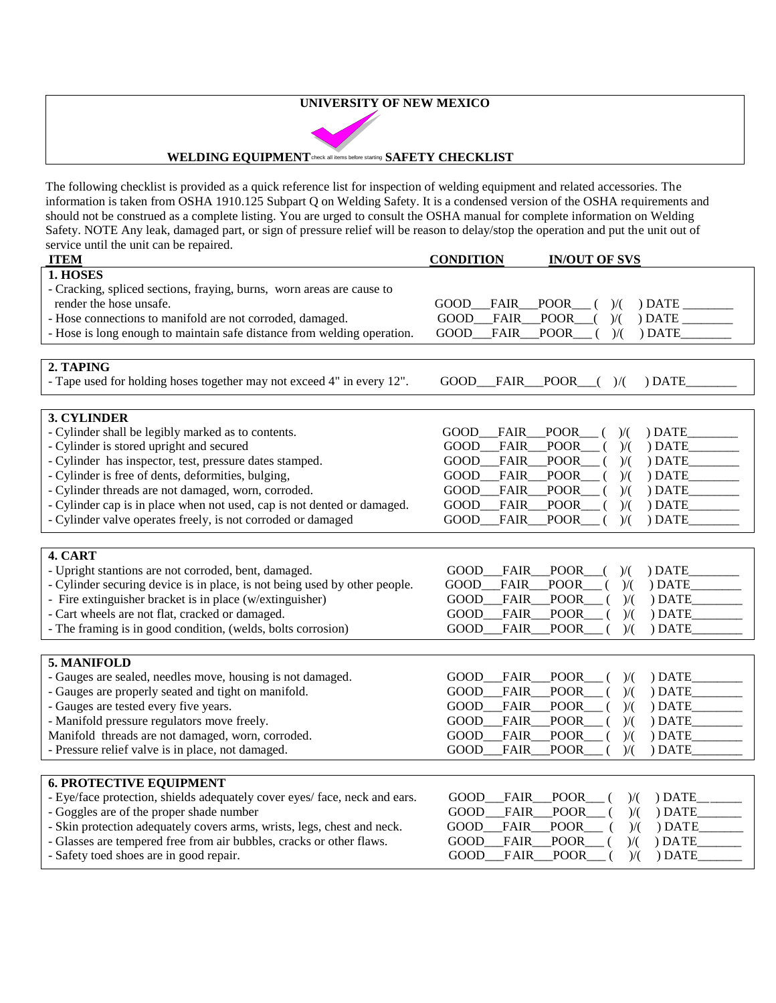#### **UNIVERSITY OF NEW MEXICO**



#### **WELDING EQUIPMENT** check all items before starting **SAFETY CHECKLIST**

The following checklist is provided as a quick reference list for inspection of welding equipment and related accessories. The information is taken from OSHA 1910.125 Subpart Q on Welding Safety. It is a condensed version of the OSHA requirements and should not be construed as a complete listing. You are urged to consult the OSHA manual for complete information on Welding Safety. NOTE Any leak, damaged part, or sign of pressure relief will be reason to delay/stop the operation and put the unit out of service until the unit can be repaired.

| <b>ITEM</b>                                                                | <b>CONDITION</b><br><b>IN/OUT OF SVS</b>                                          |
|----------------------------------------------------------------------------|-----------------------------------------------------------------------------------|
| 1. HOSES                                                                   |                                                                                   |
| - Cracking, spliced sections, fraying, burns, worn areas are cause to      |                                                                                   |
| render the hose unsafe.                                                    | FAIR<br><b>POOR</b><br>GOOD<br>) DATE<br>)/(                                      |
| - Hose connections to manifold are not corroded, damaged.                  | GOOD<br><b>POOR</b><br>)/(<br>) DATE<br>FAIR                                      |
| - Hose is long enough to maintain safe distance from welding operation.    | <b>FAIR</b><br><b>POOR</b><br>)/(<br>) DATE<br>GOOD                               |
|                                                                            |                                                                                   |
| 2. TAPING                                                                  |                                                                                   |
| - Tape used for holding hoses together may not exceed 4" in every 12".     | GOOD__FAIR__POOR__()/(<br>) DATE                                                  |
|                                                                            |                                                                                   |
| 3. CYLINDER                                                                |                                                                                   |
| - Cylinder shall be legibly marked as to contents.                         | ) DATE<br>GOOD<br>FAIR_<br>_POOR_<br>)/(                                          |
| - Cylinder is stored upright and secured                                   | <b>POOR</b><br>) DATE<br>GOOD<br><b>FAIR</b><br>)/(                               |
| - Cylinder has inspector, test, pressure dates stamped.                    | GOOD<br>FAIR<br><b>POOR</b><br>)/(<br>) DATE                                      |
| - Cylinder is free of dents, deformities, bulging,                         | GOOD<br><b>FAIR</b><br><b>POOR</b><br>) DATE<br>$\mathcal{V}$                     |
| - Cylinder threads are not damaged, worn, corroded.                        | <b>GOOD</b><br>FAIR<br>POOR<br>) DATE<br>)/(                                      |
| - Cylinder cap is in place when not used, cap is not dented or damaged.    | <b>POOR</b><br>) DATE<br><b>GOOD</b><br><b>FAIR</b><br>$\mathcal{V}(\mathcal{C})$ |
| - Cylinder valve operates freely, is not corroded or damaged               | GOOD<br><b>POOR</b><br>)/(<br><b>FAIR</b><br>) DATE                               |
|                                                                            |                                                                                   |
| 4. CART                                                                    |                                                                                   |
| - Upright stantions are not corroded, bent, damaged.                       | <b>FAIR</b><br><b>POOR</b><br>) DATE<br>GOOD<br>$\mathcal{V}(\mathcal{C})$        |
| - Cylinder securing device is in place, is not being used by other people. | <b>GOOD</b><br><b>FAIR</b><br>POOR<br>)/(<br>) DATE                               |
| - Fire extinguisher bracket is in place (w/extinguisher)                   | <b>GOOD</b><br><b>FAIR</b><br><b>POOR</b><br>) DATE<br>)/(                        |
| - Cart wheels are not flat, cracked or damaged.                            | FAIR<br><b>POOR</b><br>GOOD<br>) DATE<br>)/(                                      |
| - The framing is in good condition, (welds, bolts corrosion)               | <b>FAIR</b><br><b>POOR</b><br>) DATE<br>GOOD<br>)/(                               |
|                                                                            |                                                                                   |
| 5. MANIFOLD                                                                |                                                                                   |
| - Gauges are sealed, needles move, housing is not damaged.                 | <b>FAIR</b><br><b>POOR</b><br>) DATE<br>GOOD<br>)/(                               |
| - Gauges are properly seated and tight on manifold.                        | <b>FAIR</b><br><b>POOR</b><br>)/(<br>) DATE<br>GOOD                               |
| - Gauges are tested every five years.                                      | <b>GOOD</b><br>FAIR<br><b>POOR</b><br>) DATE<br>)/(                               |
| - Manifold pressure regulators move freely.                                | <b>GOOD</b><br><b>FAIR</b><br><b>POOR</b><br>) DATE<br>)/(                        |
| Manifold threads are not damaged, worn, corroded.                          | <b>FAIR</b><br><b>POOR</b><br>) DATE<br>GOOD<br>)/(                               |
| - Pressure relief valve is in place, not damaged.                          | <b>FAIR</b><br><b>POOR</b><br>GOOD<br>)/(<br>) DATE                               |
| <b>6. PROTECTIVE EQUIPMENT</b>                                             |                                                                                   |
| - Eye/face protection, shields adequately cover eyes/ face, neck and ears. | <b>FAIR</b><br>) DATE<br>GOOD<br><b>POOR</b>                                      |
| - Goggles are of the proper shade number                                   | )/(<br>GOOD<br><b>FAIR</b><br><b>POOR</b><br>)/(<br>) DATE                        |
|                                                                            |                                                                                   |
| - Skin protection adequately covers arms, wrists, legs, chest and neck.    | <b>FAIR</b><br><b>POOR</b><br>)/(<br>) DATE<br>GOOD                               |
| - Glasses are tempered free from air bubbles, cracks or other flaws.       | <b>FAIR</b><br><b>POOR</b><br>) DATE<br>GOOD<br>)/(                               |
| - Safety toed shoes are in good repair.                                    | FAIR<br>GOOD<br><b>POOR</b><br>)/(<br>) DATE                                      |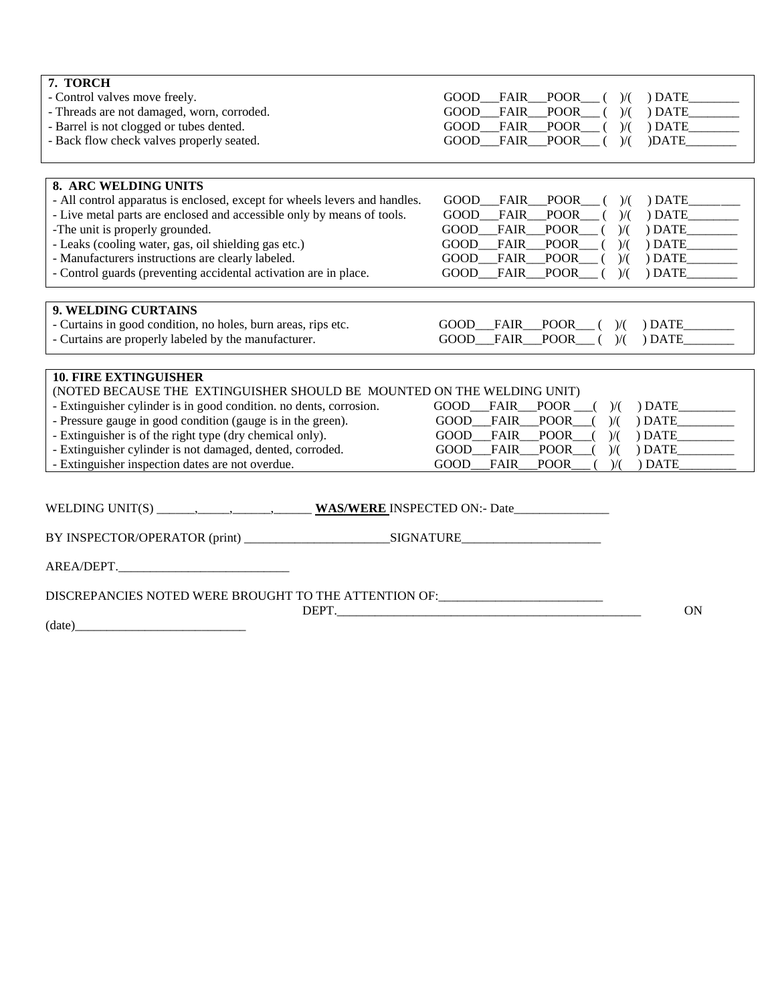| 7. TORCH                                                                         |                                                                |
|----------------------------------------------------------------------------------|----------------------------------------------------------------|
| - Control valves move freely.                                                    | GOOD FAIR POOR<br>) DATE<br>)/(                                |
| - Threads are not damaged, worn, corroded.                                       | <b>POOR</b><br>$)$ DATE<br><b>GOOD</b><br>FAIR<br>)/(          |
| - Barrel is not clogged or tubes dented.                                         | FAIR<br>GOOD<br><b>POOR</b><br>)/(<br>DATE                     |
| - Back flow check valves properly seated.                                        | GOOD FAIR<br>POOR<br>)DATE<br>$\mathcal{V}(\mathcal{C})$       |
|                                                                                  |                                                                |
| 8. ARC WELDING UNITS                                                             |                                                                |
| - All control apparatus is enclosed, except for wheels levers and handles.       | FAIR POOR<br>$)$ DATE_____<br>GOOD<br>)/(                      |
| - Live metal parts are enclosed and accessible only by means of tools.           | GOOD<br><b>POOR</b><br><b>FAIR</b><br>)/(<br>DATE              |
| -The unit is properly grounded.                                                  | <b>GOOD</b><br>FAIR<br><b>POOR</b><br>)/(<br>) DATE            |
| - Leaks (cooling water, gas, oil shielding gas etc.)                             | <b>GOOD</b><br>FAIR<br><b>POOR</b><br>)/(<br>) DATE            |
| - Manufacturers instructions are clearly labeled.                                | <b>GOOD</b><br><b>POOR</b><br>FAIR<br>)/(<br>$)$ DATE          |
| - Control guards (preventing accidental activation are in place.                 | FAIR POOR<br><b>GOOD</b><br>DATE<br>$\mathcal{V}(\mathcal{C})$ |
|                                                                                  |                                                                |
| 9. WELDING CURTAINS                                                              |                                                                |
| - Curtains in good condition, no holes, burn areas, rips etc.                    | $GOOD$ $FAIR$ $POOR$ ( )/(<br>(DATE                            |
| - Curtains are properly labeled by the manufacturer.                             | GOOD FAIR POOR ( )/(<br>$)$ DATE                               |
|                                                                                  |                                                                |
|                                                                                  |                                                                |
| <b>10. FIRE EXTINGUISHER</b>                                                     |                                                                |
| (NOTED BECAUSE THE EXTINGUISHER SHOULD BE MOUNTED ON THE WELDING UNIT)           |                                                                |
| - Extinguisher cylinder is in good condition. no dents, corrosion.               | $FAIR$ POOR $($ $)/($<br>GOOD<br>) DATE                        |
| - Pressure gauge in good condition (gauge is in the green).                      | POOR<br>GOOD<br>FAIR<br>)/(<br>) DATE                          |
| - Extinguisher is of the right type (dry chemical only).                         | FAIR_POOR<br>GOOD<br>)/(<br>) DATE                             |
| - Extinguisher cylinder is not damaged, dented, corroded.                        | FAIR<br><b>POOR</b><br>GOOD<br>)/(<br>) DATE                   |
| - Extinguisher inspection dates are not overdue.                                 | <b>GOOD</b><br><b>POOR</b><br>) DATE<br><b>FAIR</b><br>)/(     |
|                                                                                  |                                                                |
|                                                                                  |                                                                |
|                                                                                  |                                                                |
|                                                                                  |                                                                |
|                                                                                  |                                                                |
| DISCREPANCIES NOTED WERE BROUGHT TO THE ATTENTION OF: __________________________ |                                                                |
| DEPT.                                                                            | ON                                                             |
| (data)                                                                           |                                                                |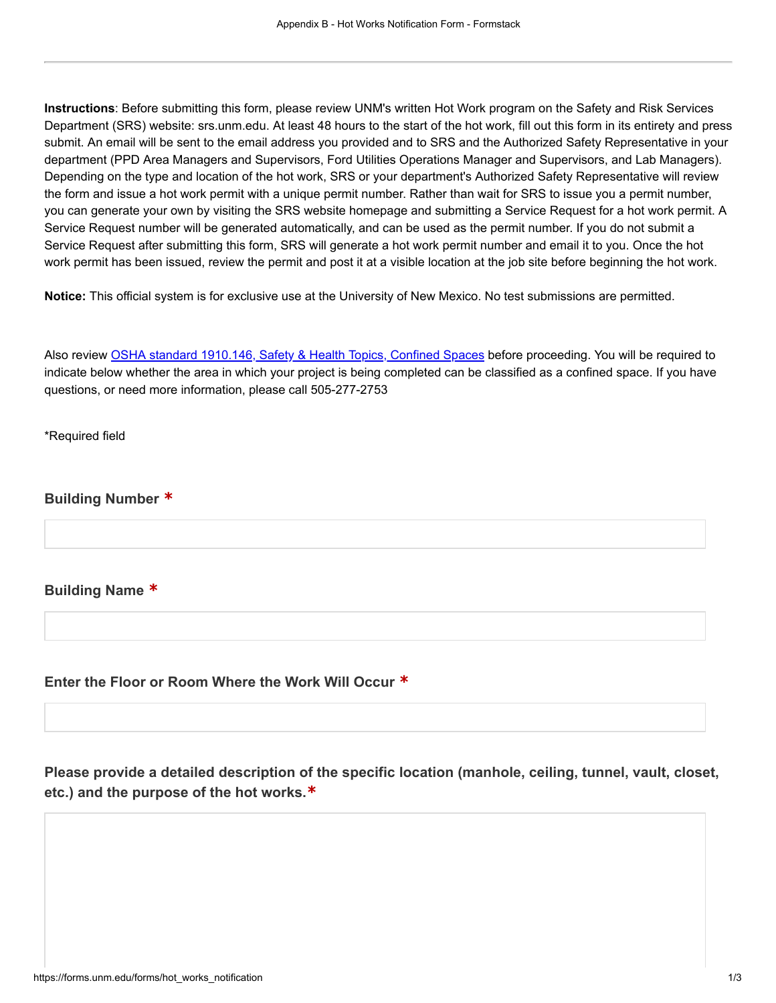Instructions: Before submitting this form, please review UNM's written Hot Work program on the Safety and Risk Services Department (SRS) website: srs.unm.edu. At least 48 hours to the start of the hot work, fill out this form in its entirety and press submit. An email will be sent to the email address you provided and to SRS and the Authorized Safety Representative in your department (PPD Area Managers and Supervisors, Ford Utilities Operations Manager and Supervisors, and Lab Managers). Depending on the type and location of the hot work, SRS or your department's Authorized Safety Representative will review the form and issue a hot work permit with a unique permit number. Rather than wait for SRS to issue you a permit number, you can generate your own by visiting the SRS website homepage and submitting a Service Request for a hot work permit. A Service Request number will be generated automatically, and can be used as the permit number. If you do not submit a Service Request after submitting this form, SRS will generate a hot work permit number and email it to you. Once the hot work permit has been issued, review the permit and post it at a visible location at the job site before beginning the hot work.

Notice: This official system is for exclusive use at the University of New Mexico. No test submissions are permitted.

Also review [OSHA standard 1910.146, Safety & Health Topics, Confined Spaces](https://www.osha.gov/SLTC/confinedspaces/) before proceeding. You will be required to indicate below whether the area in which your project is being completed can be classified as a confined space. If you have questions, or need more information, please call 505-277-2753

\*Required field

Building Number \*

Building Name \*

Enter the Floor or Room Where the Work Will Occur \*

Please provide a detailed description of the specific location (manhole, ceiling, tunnel, vault, closet, etc.) and the purpose of the hot works.\*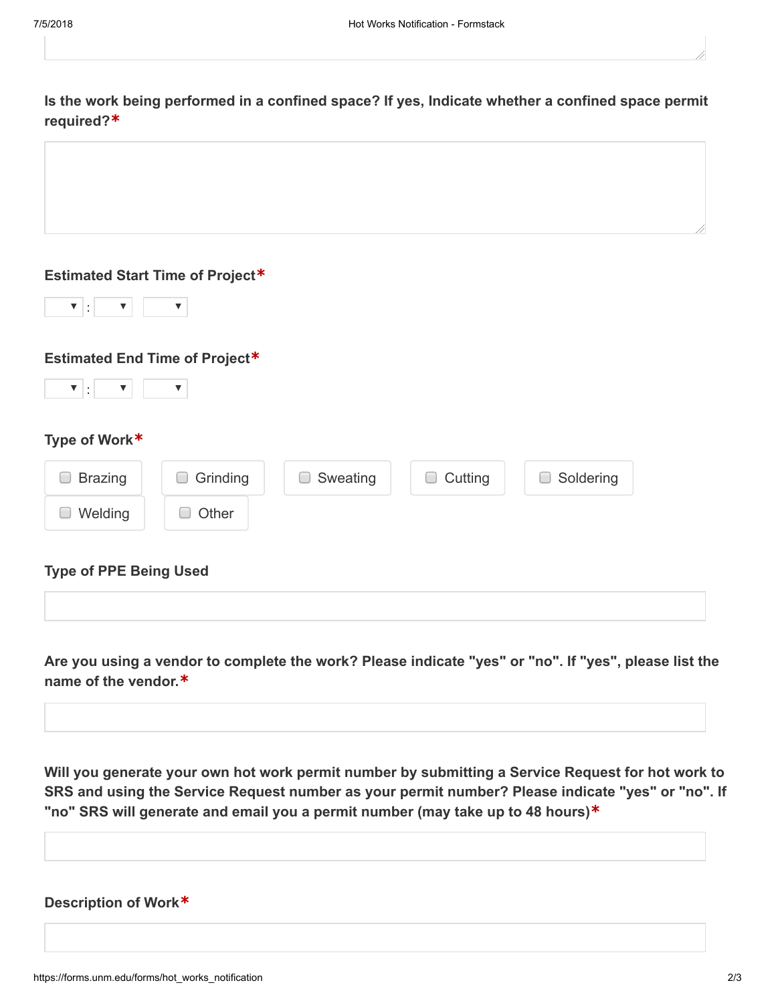| Is the work being performed in a confined space? If yes, Indicate whether a confined space permit |  |  |  |
|---------------------------------------------------------------------------------------------------|--|--|--|
| required? $*$                                                                                     |  |  |  |

| <b>Estimated Start Time of Project*</b> |  |                               |  |  |  |  |
|-----------------------------------------|--|-------------------------------|--|--|--|--|
|                                         |  | $\mathbf{v}$ . $\mathbf{v}$ . |  |  |  |  |

## Estimated End Time of Project\*



## Type of Work\*

| <b>Brazing</b>                | Grinding | Sweating | Cutting | Soldering |
|-------------------------------|----------|----------|---------|-----------|
| Welding                       | Other    |          |         |           |
| <b>Type of PPE Being Used</b> |          |          |         |           |

# Are you using a vendor to complete the work? Please indicate "yes" or "no". If "yes", please list the

name of the vendor.\*

Will you generate your own hot work permit number by submitting a Service Request for hot work to SRS and using the Service Request number as your permit number? Please indicate "yes" or "no". If "no" SRS will generate and email you a permit number (may take up to 48 hours)\*

## Description of Work\*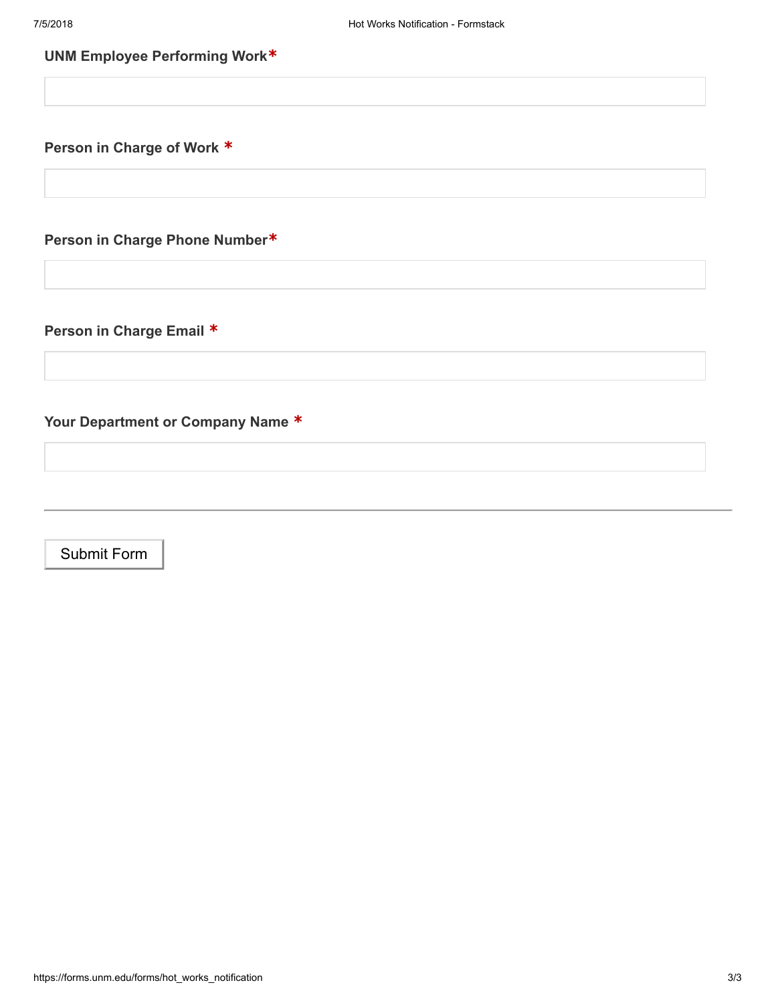## UNM Employee Performing Work\*

Person in Charge of Work \*

Person in Charge Phone Number\*

Person in Charge Email \*

Your Department or Company Name \*

Submit Form